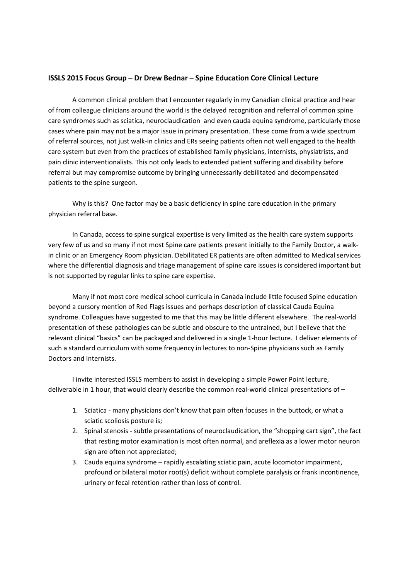## **ISSLS 2015 Focus Group – Dr Drew Bednar – Spine Education Core Clinical Lecture**

A common clinical problem that I encounter regularly in my Canadian clinical practice and hear of from colleague clinicians around the world is the delayed recognition and referral of common spine care syndromes such as sciatica, neuroclaudication and even cauda equina syndrome, particularly those cases where pain may not be a major issue in primary presentation. These come from a wide spectrum of referral sources, not just walk‐in clinics and ERs seeing patients often not well engaged to the health care system but even from the practices of established family physicians, internists, physiatrists, and pain clinic interventionalists. This not only leads to extended patient suffering and disability before referral but may compromise outcome by bringing unnecessarily debilitated and decompensated patients to the spine surgeon.

Why is this? One factor may be a basic deficiency in spine care education in the primary physician referral base.

In Canada, access to spine surgical expertise is very limited as the health care system supports very few of us and so many if not most Spine care patients present initially to the Family Doctor, a walk‐ in clinic or an Emergency Room physician. Debilitated ER patients are often admitted to Medical services where the differential diagnosis and triage management of spine care issues is considered important but is not supported by regular links to spine care expertise.

Many if not most core medical school curricula in Canada include little focused Spine education beyond a cursory mention of Red Flags issues and perhaps description of classical Cauda Equina syndrome. Colleagues have suggested to me that this may be little different elsewhere. The real-world presentation of these pathologies can be subtle and obscure to the untrained, but I believe that the relevant clinical "basics" can be packaged and delivered in a single 1‐hour lecture. I deliver elements of such a standard curriculum with some frequency in lectures to non‐Spine physicians such as Family Doctors and Internists.

I invite interested ISSLS members to assist in developing a simple Power Point lecture, deliverable in 1 hour, that would clearly describe the common real-world clinical presentations of –

- 1. Sciatica many physicians don't know that pain often focuses in the buttock, or what a sciatic scoliosis posture is;
- 2. Spinal stenosis subtle presentations of neuroclaudication, the "shopping cart sign", the fact that resting motor examination is most often normal, and areflexia as a lower motor neuron sign are often not appreciated;
- 3. Cauda equina syndrome rapidly escalating sciatic pain, acute locomotor impairment, profound or bilateral motor root(s) deficit without complete paralysis or frank incontinence, urinary or fecal retention rather than loss of control.